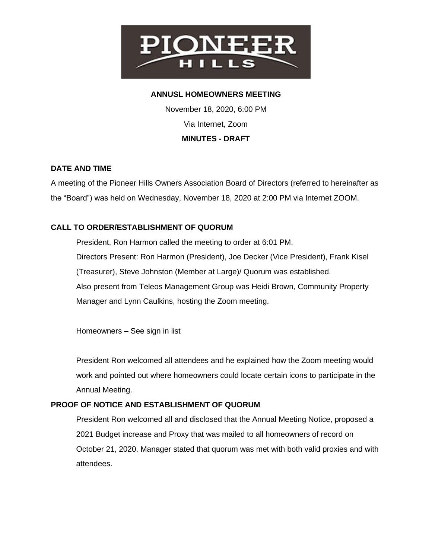

## **ANNUSL HOMEOWNERS MEETING**

November 18, 2020, 6:00 PM Via Internet, Zoom **MINUTES - DRAFT**

### **DATE AND TIME**

A meeting of the Pioneer Hills Owners Association Board of Directors (referred to hereinafter as the "Board") was held on Wednesday, November 18, 2020 at 2:00 PM via Internet ZOOM.

# **CALL TO ORDER/ESTABLISHMENT OF QUORUM**

President, Ron Harmon called the meeting to order at 6:01 PM. Directors Present: Ron Harmon (President), Joe Decker (Vice President), Frank Kisel (Treasurer), Steve Johnston (Member at Large)/ Quorum was established. Also present from Teleos Management Group was Heidi Brown, Community Property Manager and Lynn Caulkins, hosting the Zoom meeting.

Homeowners – See sign in list

President Ron welcomed all attendees and he explained how the Zoom meeting would work and pointed out where homeowners could locate certain icons to participate in the Annual Meeting.

### **PROOF OF NOTICE AND ESTABLISHMENT OF QUORUM**

President Ron welcomed all and disclosed that the Annual Meeting Notice, proposed a 2021 Budget increase and Proxy that was mailed to all homeowners of record on October 21, 2020. Manager stated that quorum was met with both valid proxies and with attendees.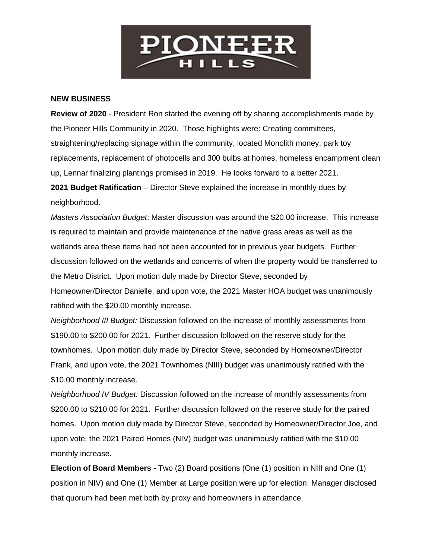

#### **NEW BUSINESS**

**Review of 2020** - President Ron started the evening off by sharing accomplishments made by the Pioneer Hills Community in 2020. Those highlights were: Creating committees, straightening/replacing signage within the community, located Monolith money, park toy replacements, replacement of photocells and 300 bulbs at homes, homeless encampment clean up, Lennar finalizing plantings promised in 2019. He looks forward to a better 2021.

**2021 Budget Ratification** – Director Steve explained the increase in monthly dues by neighborhood.

*Masters Association Budget*: Master discussion was around the \$20.00 increase. This increase is required to maintain and provide maintenance of the native grass areas as well as the wetlands area these items had not been accounted for in previous year budgets. Further discussion followed on the wetlands and concerns of when the property would be transferred to the Metro District. Upon motion duly made by Director Steve, seconded by Homeowner/Director Danielle, and upon vote, the 2021 Master HOA budget was unanimously ratified with the \$20.00 monthly increase.

*Neighborhood III Budget:* Discussion followed on the increase of monthly assessments from \$190.00 to \$200.00 for 2021. Further discussion followed on the reserve study for the townhomes. Upon motion duly made by Director Steve, seconded by Homeowner/Director Frank, and upon vote, the 2021 Townhomes (NIII) budget was unanimously ratified with the \$10.00 monthly increase.

*Neighborhood IV Budget:* Discussion followed on the increase of monthly assessments from \$200.00 to \$210.00 for 2021. Further discussion followed on the reserve study for the paired homes. Upon motion duly made by Director Steve, seconded by Homeowner/Director Joe, and upon vote, the 2021 Paired Homes (NIV) budget was unanimously ratified with the \$10.00 monthly increase.

**Election of Board Members -** Two (2) Board positions (One (1) position in NIII and One (1) position in NIV) and One (1) Member at Large position were up for election. Manager disclosed that quorum had been met both by proxy and homeowners in attendance.